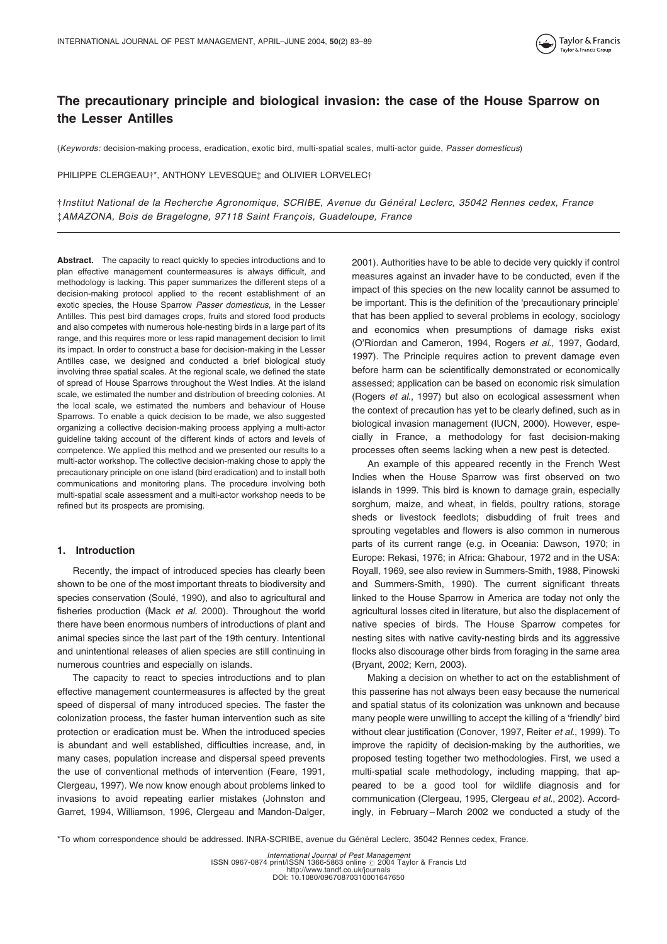

# The precautionary principle and biological invasion: the case of the House Sparrow on the Lesser Antilles

(Keywords: decision-making process, eradication, exotic bird, multi-spatial scales, multi-actor guide, Passer domesticus)

PHILIPPE CLERGEAU<sup>†\*</sup>, ANTHONY LEVESQUE<sup>\*</sup> and OLIVIER LORVELEC<sup>†</sup>

{Institut National de la Recherche Agronomique, SCRIBE, Avenue du Ge´ ne´ ral Leclerc, 35042 Rennes cedex, France  $\texttt{tAMAZONA}$ , Bois de Bragelogne, 97118 Saint Francois, Guadeloupe, France

Abstract. The capacity to react quickly to species introductions and to plan effective management countermeasures is always difficult, and methodology is lacking. This paper summarizes the different steps of a decision-making protocol applied to the recent establishment of an exotic species, the House Sparrow Passer domesticus, in the Lesser Antilles. This pest bird damages crops, fruits and stored food products and also competes with numerous hole-nesting birds in a large part of its range, and this requires more or less rapid management decision to limit its impact. In order to construct a base for decision-making in the Lesser Antilles case, we designed and conducted a brief biological study involving three spatial scales. At the regional scale, we defined the state of spread of House Sparrows throughout the West Indies. At the island scale, we estimated the number and distribution of breeding colonies. At the local scale, we estimated the numbers and behaviour of House Sparrows. To enable a quick decision to be made, we also suggested organizing a collective decision-making process applying a multi-actor guideline taking account of the different kinds of actors and levels of competence. We applied this method and we presented our results to a multi-actor workshop. The collective decision-making chose to apply the precautionary principle on one island (bird eradication) and to install both communications and monitoring plans. The procedure involving both multi-spatial scale assessment and a multi-actor workshop needs to be refined but its prospects are promising.

## 1. Introduction

Recently, the impact of introduced species has clearly been shown to be one of the most important threats to biodiversity and species conservation (Soulé, 1990), and also to agricultural and fisheries production (Mack et al. 2000). Throughout the world there have been enormous numbers of introductions of plant and animal species since the last part of the 19th century. Intentional and unintentional releases of alien species are still continuing in numerous countries and especially on islands.

The capacity to react to species introductions and to plan effective management countermeasures is affected by the great speed of dispersal of many introduced species. The faster the colonization process, the faster human intervention such as site protection or eradication must be. When the introduced species is abundant and well established, difficulties increase, and, in many cases, population increase and dispersal speed prevents the use of conventional methods of intervention (Feare, 1991, Clergeau, 1997). We now know enough about problems linked to invasions to avoid repeating earlier mistakes (Johnston and Garret, 1994, Williamson, 1996, Clergeau and Mandon-Dalger, 2001). Authorities have to be able to decide very quickly if control measures against an invader have to be conducted, even if the impact of this species on the new locality cannot be assumed to be important. This is the definition of the 'precautionary principle' that has been applied to several problems in ecology, sociology and economics when presumptions of damage risks exist (O'Riordan and Cameron, 1994, Rogers et al., 1997, Godard, 1997). The Principle requires action to prevent damage even before harm can be scientifically demonstrated or economically assessed; application can be based on economic risk simulation (Rogers et al., 1997) but also on ecological assessment when the context of precaution has yet to be clearly defined, such as in biological invasion management (IUCN, 2000). However, especially in France, a methodology for fast decision-making processes often seems lacking when a new pest is detected.

An example of this appeared recently in the French West Indies when the House Sparrow was first observed on two islands in 1999. This bird is known to damage grain, especially sorghum, maize, and wheat, in fields, poultry rations, storage sheds or livestock feedlots; disbudding of fruit trees and sprouting vegetables and flowers is also common in numerous parts of its current range (e.g. in Oceania: Dawson, 1970; in Europe: Rekasi, 1976; in Africa: Ghabour, 1972 and in the USA: Royall, 1969, see also review in Summers-Smith, 1988, Pinowski and Summers-Smith, 1990). The current significant threats linked to the House Sparrow in America are today not only the agricultural losses cited in literature, but also the displacement of native species of birds. The House Sparrow competes for nesting sites with native cavity-nesting birds and its aggressive flocks also discourage other birds from foraging in the same area (Bryant, 2002; Kern, 2003).

Making a decision on whether to act on the establishment of this passerine has not always been easy because the numerical and spatial status of its colonization was unknown and because many people were unwilling to accept the killing of a 'friendly' bird without clear justification (Conover, 1997, Reiter et al., 1999). To improve the rapidity of decision-making by the authorities, we proposed testing together two methodologies. First, we used a multi-spatial scale methodology, including mapping, that appeared to be a good tool for wildlife diagnosis and for communication (Clergeau, 1995, Clergeau et al., 2002). Accordingly, in February – March 2002 we conducted a study of the

\*To whom correspondence should be addressed. INRA-SCRIBE, avenue du Général Leclerc, 35042 Rennes cedex, France.

International Journal of Pest Management ISSN 0967-0874 print/ISSN 1366-5863 online # 2004 Taylor & Francis Ltd http://www.tandf.co.uk/journals DOI: 10.1080/09670870310001647650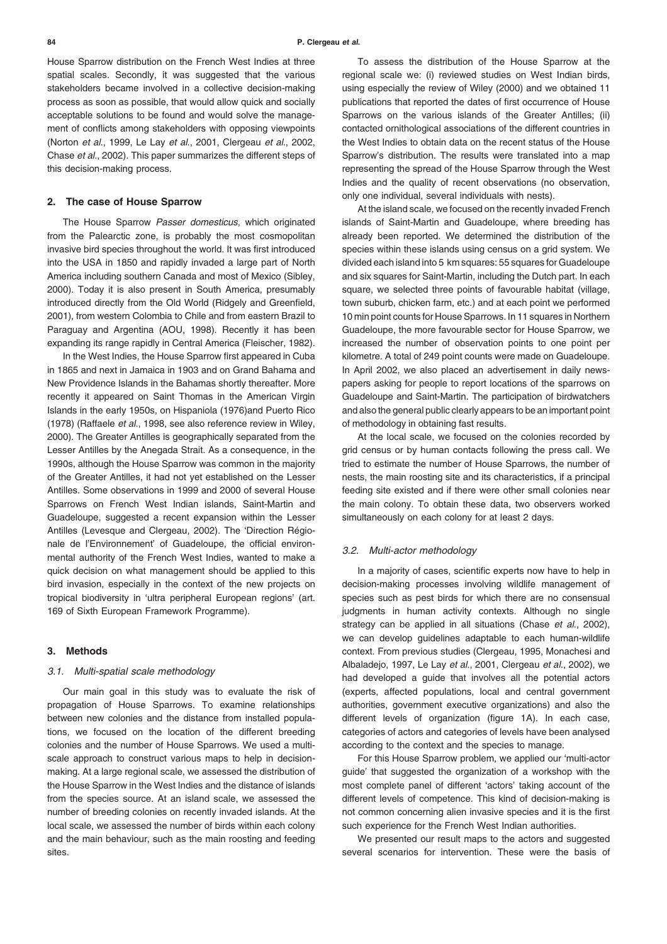House Sparrow distribution on the French West Indies at three spatial scales. Secondly, it was suggested that the various stakeholders became involved in a collective decision-making process as soon as possible, that would allow quick and socially acceptable solutions to be found and would solve the management of conflicts among stakeholders with opposing viewpoints (Norton et al., 1999, Le Lay et al., 2001, Clergeau et al., 2002, Chase et al., 2002). This paper summarizes the different steps of this decision-making process.

### 2. The case of House Sparrow

The House Sparrow Passer domesticus, which originated from the Palearctic zone, is probably the most cosmopolitan invasive bird species throughout the world. It was first introduced into the USA in 1850 and rapidly invaded a large part of North America including southern Canada and most of Mexico (Sibley, 2000). Today it is also present in South America, presumably introduced directly from the Old World (Ridgely and Greenfield, 2001), from western Colombia to Chile and from eastern Brazil to Paraguay and Argentina (AOU, 1998). Recently it has been expanding its range rapidly in Central America (Fleischer, 1982).

In the West Indies, the House Sparrow first appeared in Cuba in 1865 and next in Jamaica in 1903 and on Grand Bahama and New Providence Islands in the Bahamas shortly thereafter. More recently it appeared on Saint Thomas in the American Virgin Islands in the early 1950s, on Hispaniola (1976)and Puerto Rico (1978) (Raffaele et al., 1998, see also reference review in Wiley, 2000). The Greater Antilles is geographically separated from the Lesser Antilles by the Anegada Strait. As a consequence, in the 1990s, although the House Sparrow was common in the majority of the Greater Antilles, it had not yet established on the Lesser Antilles. Some observations in 1999 and 2000 of several House Sparrows on French West Indian islands, Saint-Martin and Guadeloupe, suggested a recent expansion within the Lesser Antilles (Levesque and Clergeau, 2002). The 'Direction Régionale de l'Environnement' of Guadeloupe, the official environmental authority of the French West Indies, wanted to make a quick decision on what management should be applied to this bird invasion, especially in the context of the new projects on tropical biodiversity in 'ultra peripheral European regions' (art. 169 of Sixth European Framework Programme).

### 3. Methods

#### 3.1. Multi-spatial scale methodology

Our main goal in this study was to evaluate the risk of propagation of House Sparrows. To examine relationships between new colonies and the distance from installed populations, we focused on the location of the different breeding colonies and the number of House Sparrows. We used a multiscale approach to construct various maps to help in decisionmaking. At a large regional scale, we assessed the distribution of the House Sparrow in the West Indies and the distance of islands from the species source. At an island scale, we assessed the number of breeding colonies on recently invaded islands. At the local scale, we assessed the number of birds within each colony and the main behaviour, such as the main roosting and feeding sites.

To assess the distribution of the House Sparrow at the regional scale we: (i) reviewed studies on West Indian birds, using especially the review of Wiley (2000) and we obtained 11 publications that reported the dates of first occurrence of House Sparrows on the various islands of the Greater Antilles; (ii) contacted ornithological associations of the different countries in the West Indies to obtain data on the recent status of the House Sparrow's distribution. The results were translated into a map representing the spread of the House Sparrow through the West Indies and the quality of recent observations (no observation, only one individual, several individuals with nests).

At the island scale, we focused on the recently invaded French islands of Saint-Martin and Guadeloupe, where breeding has already been reported. We determined the distribution of the species within these islands using census on a grid system. We divided each island into 5 km squares: 55 squares for Guadeloupe and six squares for Saint-Martin, including the Dutch part. In each square, we selected three points of favourable habitat (village, town suburb, chicken farm, etc.) and at each point we performed 10 min point counts for House Sparrows. In 11 squares in Northern Guadeloupe, the more favourable sector for House Sparrow, we increased the number of observation points to one point per kilometre. A total of 249 point counts were made on Guadeloupe. In April 2002, we also placed an advertisement in daily newspapers asking for people to report locations of the sparrows on Guadeloupe and Saint-Martin. The participation of birdwatchers and also the general public clearly appears to be an important point of methodology in obtaining fast results.

At the local scale, we focused on the colonies recorded by grid census or by human contacts following the press call. We tried to estimate the number of House Sparrows, the number of nests, the main roosting site and its characteristics, if a principal feeding site existed and if there were other small colonies near the main colony. To obtain these data, two observers worked simultaneously on each colony for at least 2 days.

#### 3.2. Multi-actor methodology

In a majority of cases, scientific experts now have to help in decision-making processes involving wildlife management of species such as pest birds for which there are no consensual judgments in human activity contexts. Although no single strategy can be applied in all situations (Chase et al., 2002), we can develop guidelines adaptable to each human-wildlife context. From previous studies (Clergeau, 1995, Monachesi and Albaladejo, 1997, Le Lay et al., 2001, Clergeau et al., 2002), we had developed a guide that involves all the potential actors (experts, affected populations, local and central government authorities, government executive organizations) and also the different levels of organization (figure 1A). In each case, categories of actors and categories of levels have been analysed according to the context and the species to manage.

For this House Sparrow problem, we applied our 'multi-actor guide' that suggested the organization of a workshop with the most complete panel of different 'actors' taking account of the different levels of competence. This kind of decision-making is not common concerning alien invasive species and it is the first such experience for the French West Indian authorities.

We presented our result maps to the actors and suggested several scenarios for intervention. These were the basis of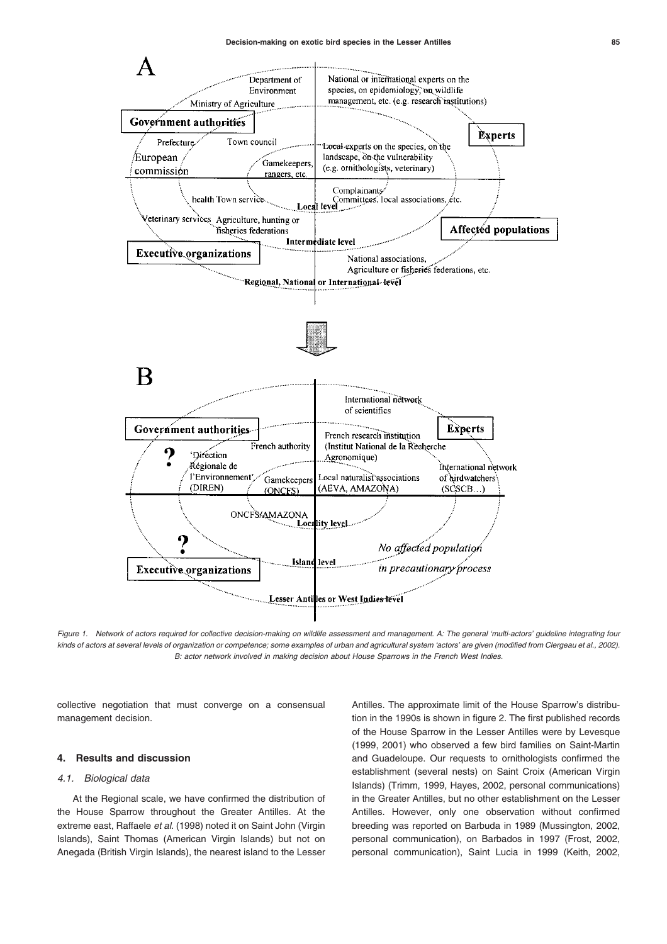

Figure 1. Network of actors required for collective decision-making on wildlife assessment and management. A: The general 'multi-actors' guideline integrating four kinds of actors at several levels of organization or competence; some examples of urban and agricultural system 'actors' are given (modified from Clergeau et al., 2002). B: actor network involved in making decision about House Sparrows in the French West Indies.

collective negotiation that must converge on a consensual management decision.

#### 4. Results and discussion

#### 4.1. Biological data

At the Regional scale, we have confirmed the distribution of the House Sparrow throughout the Greater Antilles. At the extreme east, Raffaele et al. (1998) noted it on Saint John (Virgin Islands), Saint Thomas (American Virgin Islands) but not on Anegada (British Virgin Islands), the nearest island to the Lesser

Antilles. The approximate limit of the House Sparrow's distribution in the 1990s is shown in figure 2. The first published records of the House Sparrow in the Lesser Antilles were by Levesque (1999, 2001) who observed a few bird families on Saint-Martin and Guadeloupe. Our requests to ornithologists confirmed the establishment (several nests) on Saint Croix (American Virgin Islands) (Trimm, 1999, Hayes, 2002, personal communications) in the Greater Antilles, but no other establishment on the Lesser Antilles. However, only one observation without confirmed breeding was reported on Barbuda in 1989 (Mussington, 2002, personal communication), on Barbados in 1997 (Frost, 2002, personal communication), Saint Lucia in 1999 (Keith, 2002,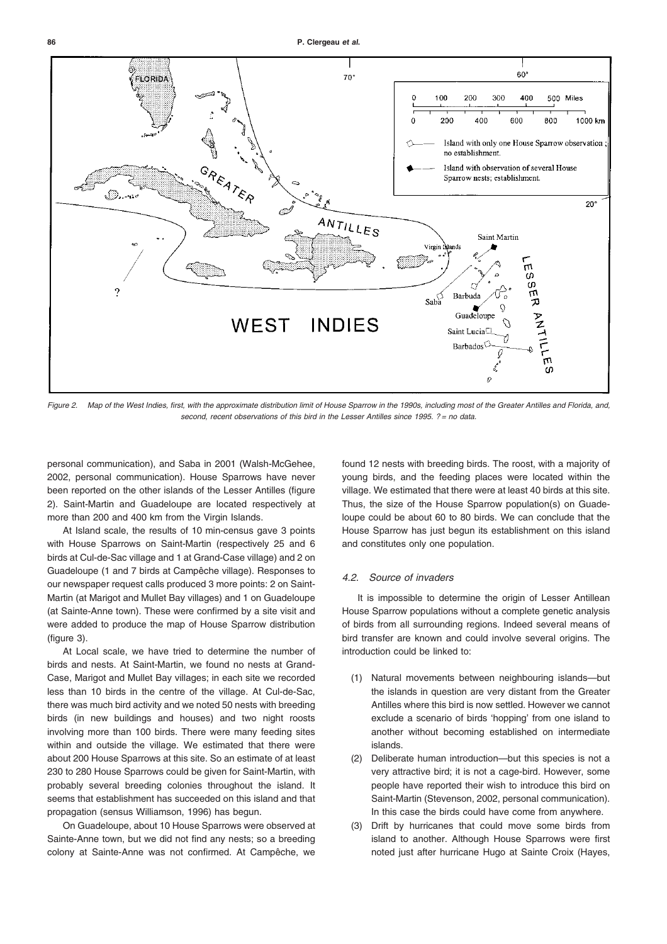86 **P. Clergeau et al.** 



Figure 2. Map of the West Indies, first, with the approximate distribution limit of House Sparrow in the 1990s, including most of the Greater Antilles and Florida, and, second, recent observations of this bird in the Lesser Antilles since 1995. ? = no data.

personal communication), and Saba in 2001 (Walsh-McGehee, 2002, personal communication). House Sparrows have never been reported on the other islands of the Lesser Antilles (figure 2). Saint-Martin and Guadeloupe are located respectively at more than 200 and 400 km from the Virgin Islands.

At Island scale, the results of 10 min-census gave 3 points with House Sparrows on Saint-Martin (respectively 25 and 6 birds at Cul-de-Sac village and 1 at Grand-Case village) and 2 on Guadeloupe (1 and 7 birds at Campêche village). Responses to our newspaper request calls produced 3 more points: 2 on Saint-Martin (at Marigot and Mullet Bay villages) and 1 on Guadeloupe (at Sainte-Anne town). These were confirmed by a site visit and were added to produce the map of House Sparrow distribution (figure 3).

At Local scale, we have tried to determine the number of birds and nests. At Saint-Martin, we found no nests at Grand-Case, Marigot and Mullet Bay villages; in each site we recorded less than 10 birds in the centre of the village. At Cul-de-Sac, there was much bird activity and we noted 50 nests with breeding birds (in new buildings and houses) and two night roosts involving more than 100 birds. There were many feeding sites within and outside the village. We estimated that there were about 200 House Sparrows at this site. So an estimate of at least 230 to 280 House Sparrows could be given for Saint-Martin, with probably several breeding colonies throughout the island. It seems that establishment has succeeded on this island and that propagation (sensus Williamson, 1996) has begun.

On Guadeloupe, about 10 House Sparrows were observed at Sainte-Anne town, but we did not find any nests; so a breeding colony at Sainte-Anne was not confirmed. At Campêche, we

found 12 nests with breeding birds. The roost, with a majority of young birds, and the feeding places were located within the village. We estimated that there were at least 40 birds at this site. Thus, the size of the House Sparrow population(s) on Guadeloupe could be about 60 to 80 birds. We can conclude that the House Sparrow has just begun its establishment on this island and constitutes only one population.

# 4.2. Source of invaders

It is impossible to determine the origin of Lesser Antillean House Sparrow populations without a complete genetic analysis of birds from all surrounding regions. Indeed several means of bird transfer are known and could involve several origins. The introduction could be linked to:

- (1) Natural movements between neighbouring islands—but the islands in question are very distant from the Greater Antilles where this bird is now settled. However we cannot exclude a scenario of birds 'hopping' from one island to another without becoming established on intermediate islands.
- (2) Deliberate human introduction—but this species is not a very attractive bird; it is not a cage-bird. However, some people have reported their wish to introduce this bird on Saint-Martin (Stevenson, 2002, personal communication). In this case the birds could have come from anywhere.
- (3) Drift by hurricanes that could move some birds from island to another. Although House Sparrows were first noted just after hurricane Hugo at Sainte Croix (Hayes,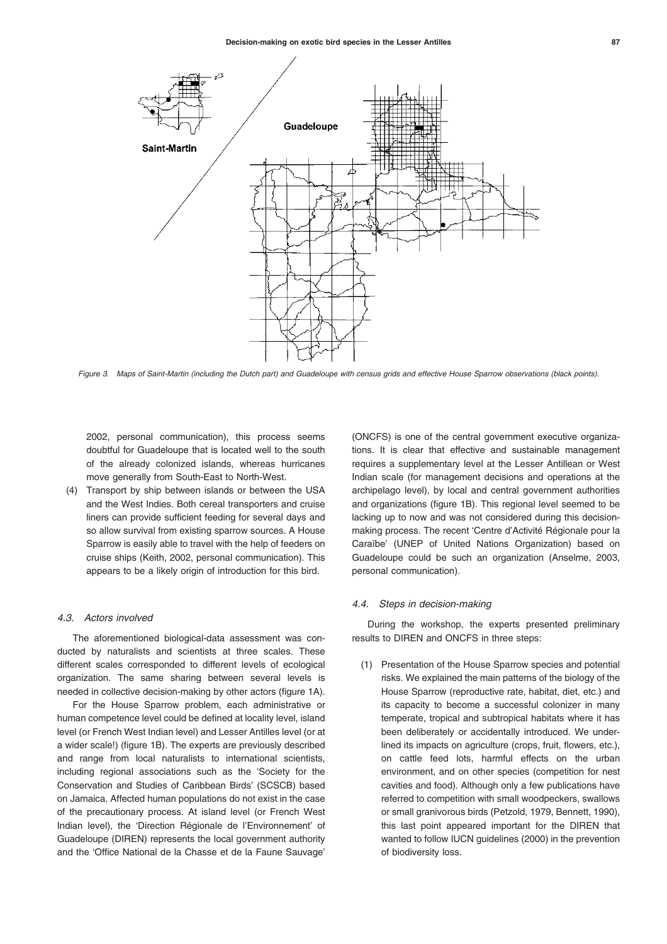

Figure 3. Maps of Saint-Martin (including the Dutch part) and Guadeloupe with census grids and effective House Sparrow observations (black points).

2002, personal communication), this process seems doubtful for Guadeloupe that is located well to the south of the already colonized islands, whereas hurricanes move generally from South-East to North-West.

(4) Transport by ship between islands or between the USA and the West Indies. Both cereal transporters and cruise liners can provide sufficient feeding for several days and so allow survival from existing sparrow sources. A House Sparrow is easily able to travel with the help of feeders on cruise ships (Keith, 2002, personal communication). This appears to be a likely origin of introduction for this bird.

#### 4.3. Actors involved

The aforementioned biological-data assessment was conducted by naturalists and scientists at three scales. These different scales corresponded to different levels of ecological organization. The same sharing between several levels is needed in collective decision-making by other actors (figure 1A).

For the House Sparrow problem, each administrative or human competence level could be defined at locality level, island level (or French West Indian level) and Lesser Antilles level (or at a wider scale!) (figure 1B). The experts are previously described and range from local naturalists to international scientists, including regional associations such as the 'Society for the Conservation and Studies of Caribbean Birds' (SCSCB) based on Jamaica. Affected human populations do not exist in the case of the precautionary process. At island level (or French West Indian level), the 'Direction Régionale de l'Environnement' of Guadeloupe (DIREN) represents the local government authority and the 'Office National de la Chasse et de la Faune Sauvage'

(ONCFS) is one of the central government executive organizations. It is clear that effective and sustainable management requires a supplementary level at the Lesser Antillean or West Indian scale (for management decisions and operations at the archipelago level), by local and central government authorities and organizations (figure 1B). This regional level seemed to be lacking up to now and was not considered during this decisionmaking process. The recent 'Centre d'Activité Régionale pour la Caraïbe' (UNEP of United Nations Organization) based on Guadeloupe could be such an organization (Anselme, 2003, personal communication).

#### 4.4. Steps in decision-making

During the workshop, the experts presented preliminary results to DIREN and ONCFS in three steps:

(1) Presentation of the House Sparrow species and potential risks. We explained the main patterns of the biology of the House Sparrow (reproductive rate, habitat, diet, etc.) and its capacity to become a successful colonizer in many temperate, tropical and subtropical habitats where it has been deliberately or accidentally introduced. We underlined its impacts on agriculture (crops, fruit, flowers, etc.), on cattle feed lots, harmful effects on the urban environment, and on other species (competition for nest cavities and food). Although only a few publications have referred to competition with small woodpeckers, swallows or small granivorous birds (Petzold, 1979, Bennett, 1990), this last point appeared important for the DIREN that wanted to follow IUCN guidelines (2000) in the prevention of biodiversity loss.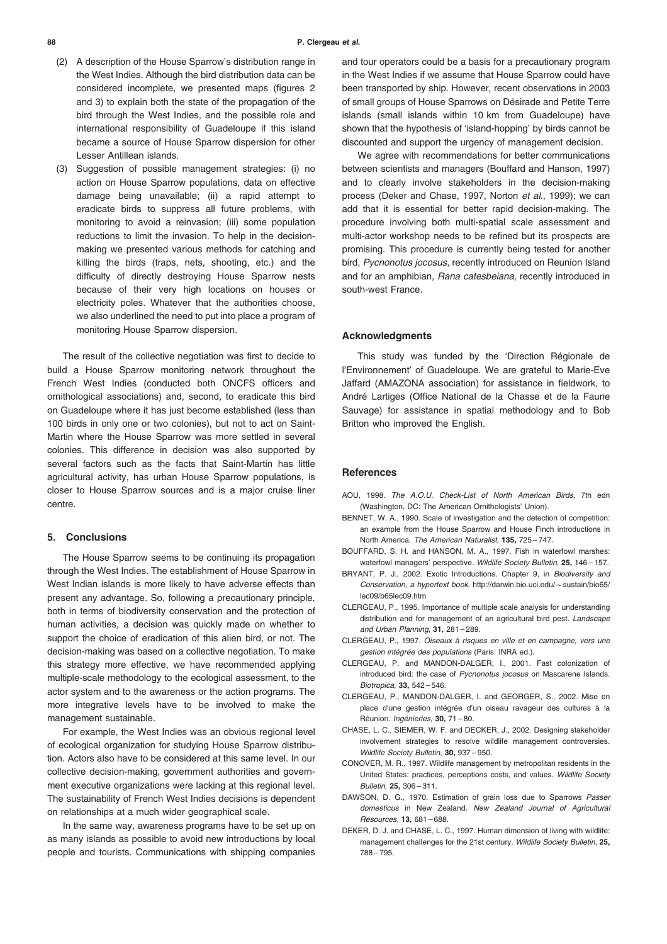- (2) A description of the House Sparrow's distribution range in the West Indies. Although the bird distribution data can be considered incomplete, we presented maps (figures 2 and 3) to explain both the state of the propagation of the bird through the West Indies, and the possible role and international responsibility of Guadeloupe if this island became a source of House Sparrow dispersion for other Lesser Antillean islands.
- (3) Suggestion of possible management strategies: (i) no action on House Sparrow populations, data on effective damage being unavailable; (ii) a rapid attempt to eradicate birds to suppress all future problems, with monitoring to avoid a reinvasion; (iii) some population reductions to limit the invasion. To help in the decisionmaking we presented various methods for catching and killing the birds (traps, nets, shooting, etc.) and the difficulty of directly destroying House Sparrow nests because of their very high locations on houses or electricity poles. Whatever that the authorities choose, we also underlined the need to put into place a program of monitoring House Sparrow dispersion.

The result of the collective negotiation was first to decide to build a House Sparrow monitoring network throughout the French West Indies (conducted both ONCFS officers and ornithological associations) and, second, to eradicate this bird on Guadeloupe where it has just become established (less than 100 birds in only one or two colonies), but not to act on Saint-Martin where the House Sparrow was more settled in several colonies. This difference in decision was also supported by several factors such as the facts that Saint-Martin has little agricultural activity, has urban House Sparrow populations, is closer to House Sparrow sources and is a major cruise liner centre.

### 5. Conclusions

The House Sparrow seems to be continuing its propagation through the West Indies. The establishment of House Sparrow in West Indian islands is more likely to have adverse effects than present any advantage. So, following a precautionary principle, both in terms of biodiversity conservation and the protection of human activities, a decision was quickly made on whether to support the choice of eradication of this alien bird, or not. The decision-making was based on a collective negotiation. To make this strategy more effective, we have recommended applying multiple-scale methodology to the ecological assessment, to the actor system and to the awareness or the action programs. The more integrative levels have to be involved to make the management sustainable.

For example, the West Indies was an obvious regional level of ecological organization for studying House Sparrow distribution. Actors also have to be considered at this same level. In our collective decision-making, government authorities and government executive organizations were lacking at this regional level. The sustainability of French West Indies decisions is dependent on relationships at a much wider geographical scale.

In the same way, awareness programs have to be set up on as many islands as possible to avoid new introductions by local people and tourists. Communications with shipping companies

and tour operators could be a basis for a precautionary program in the West Indies if we assume that House Sparrow could have been transported by ship. However, recent observations in 2003 of small groups of House Sparrows on Désirade and Petite Terre islands (small islands within 10 km from Guadeloupe) have shown that the hypothesis of 'island-hopping' by birds cannot be discounted and support the urgency of management decision.

We agree with recommendations for better communications between scientists and managers (Bouffard and Hanson, 1997) and to clearly involve stakeholders in the decision-making process (Deker and Chase, 1997, Norton et al., 1999); we can add that it is essential for better rapid decision-making. The procedure involving both multi-spatial scale assessment and multi-actor workshop needs to be refined but its prospects are promising. This procedure is currently being tested for another bird, Pycnonotus jocosus, recently introduced on Reunion Island and for an amphibian, Rana catesbeiana, recently introduced in south-west France.

#### Acknowledgments

This study was funded by the 'Direction Régionale de l'Environnement' of Guadeloupe. We are grateful to Marie-Eve Jaffard (AMAZONA association) for assistance in fieldwork, to André Lartiges (Office National de la Chasse et de la Faune Sauvage) for assistance in spatial methodology and to Bob Britton who improved the English.

#### References

- AOU, 1998. The A.O.U. Check-List of North American Birds, 7th edn (Washington, DC: The American Ornithologists' Union).
- BENNET, W. A., 1990. Scale of investigation and the detection of competition: an example from the House Sparrow and House Finch introductions in North America. The American Naturalist, 135, 725 – 747.
- BOUFFARD, S. H. and HANSON, M. A., 1997. Fish in waterfowl marshes: waterfowl managers' perspective. Wildlife Society Bulletin, 25, 146-157.
- BRYANT, P. J., 2002. Exotic Introductions. Chapter 9, in Biodiversity and Conservation, a hypertext book. http://darwin.bio.uci.edu/ $\sim$ sustain/bio65/ lec09/b65lec09.htm
- CLERGEAU, P., 1995. Importance of multiple scale analysis for understanding distribution and for management of an agricultural bird pest. Landscape and Urban Planning, 31, 281 – 289.
- CLERGEAU, P., 1997. Oiseaux à risques en ville et en campagne, vers une gestion intégrée des populations (Paris: INRA ed.).
- CLERGEAU, P. and MANDON-DALGER, I., 2001. Fast colonization of introduced bird: the case of Pycnonotus jocosus on Mascarene Islands. Biotropica, 33, 542 – 546.
- CLERGEAU, P., MANDON-DALGER, I. and GEORGER, S., 2002. Mise en place d'une gestion intégrée d'un oiseau ravageur des cultures à la Réunion. Ingénieries, 30, 71-80.
- CHASE, L. C., SIEMER, W. F. and DECKER, J., 2002. Designing stakeholder involvement strategies to resolve wildlife management controversies. Wildlife Society Bulletin, 30, 937-950.
- CONOVER, M. R., 1997. Wildlife management by metropolitan residents in the United States: practices, perceptions costs, and values. Wildlife Society Bulletin, 25, 306 – 311.
- DAWSON, D. G., 1970. Estimation of grain loss due to Sparrows Passer domesticus in New Zealand. New Zealand Journal of Agricultural Resources, 13, 681 – 688.
- DEKER, D. J. and CHASE, L. C., 1997. Human dimension of living with wildlife: management challenges for the 21st century. Wildlife Society Bulletin, 25, 788 – 795.